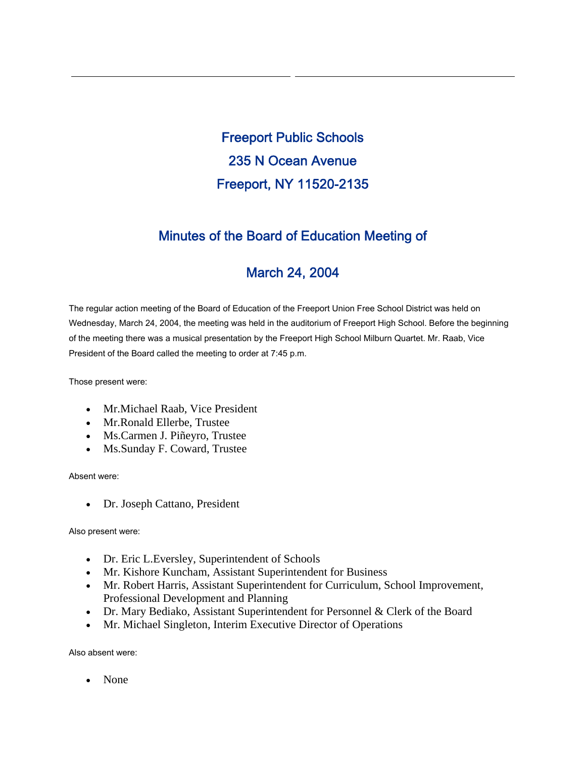Freeport Public Schools 235 N Ocean Avenue Freeport, NY 11520-2135

# Minutes of the Board of Education Meeting of

# March 24, 2004

The regular action meeting of the Board of Education of the Freeport Union Free School District was held on Wednesday, March 24, 2004, the meeting was held in the auditorium of Freeport High School. Before the beginning of the meeting there was a musical presentation by the Freeport High School Milburn Quartet. Mr. Raab, Vice President of the Board called the meeting to order at 7:45 p.m.

Those present were:

- Mr.Michael Raab, Vice President
- Mr.Ronald Ellerbe, Trustee
- Ms.Carmen J. Piñeyro, Trustee
- Ms.Sunday F. Coward, Trustee

Absent were:

• Dr. Joseph Cattano, President

Also present were:

- Dr. Eric L.Eversley, Superintendent of Schools
- Mr. Kishore Kuncham, Assistant Superintendent for Business
- Mr. Robert Harris, Assistant Superintendent for Curriculum, School Improvement, Professional Development and Planning
- Dr. Mary Bediako, Assistant Superintendent for Personnel & Clerk of the Board
- Mr. Michael Singleton, Interim Executive Director of Operations

Also absent were:

• None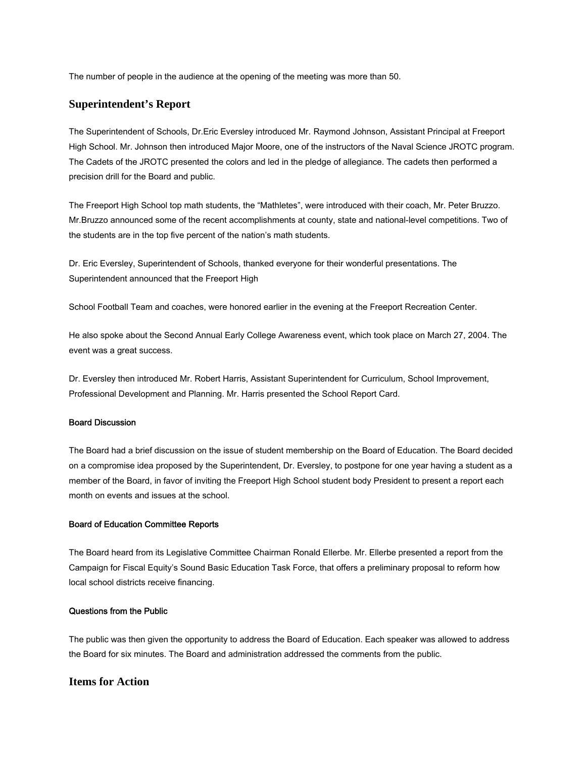The number of people in the audience at the opening of the meeting was more than 50.

## **Superintendent's Report**

The Superintendent of Schools, Dr.Eric Eversley introduced Mr. Raymond Johnson, Assistant Principal at Freeport High School. Mr. Johnson then introduced Major Moore, one of the instructors of the Naval Science JROTC program. The Cadets of the JROTC presented the colors and led in the pledge of allegiance. The cadets then performed a precision drill for the Board and public.

The Freeport High School top math students, the "Mathletes", were introduced with their coach, Mr. Peter Bruzzo. Mr.Bruzzo announced some of the recent accomplishments at county, state and national-level competitions. Two of the students are in the top five percent of the nation's math students.

Dr. Eric Eversley, Superintendent of Schools, thanked everyone for their wonderful presentations. The Superintendent announced that the Freeport High

School Football Team and coaches, were honored earlier in the evening at the Freeport Recreation Center.

He also spoke about the Second Annual Early College Awareness event, which took place on March 27, 2004. The event was a great success.

Dr. Eversley then introduced Mr. Robert Harris, Assistant Superintendent for Curriculum, School Improvement, Professional Development and Planning. Mr. Harris presented the School Report Card.

## Board Discussion

The Board had a brief discussion on the issue of student membership on the Board of Education. The Board decided on a compromise idea proposed by the Superintendent, Dr. Eversley, to postpone for one year having a student as a member of the Board, in favor of inviting the Freeport High School student body President to present a report each month on events and issues at the school.

#### Board of Education Committee Reports

The Board heard from its Legislative Committee Chairman Ronald Ellerbe. Mr. Ellerbe presented a report from the Campaign for Fiscal Equity's Sound Basic Education Task Force, that offers a preliminary proposal to reform how local school districts receive financing.

### Questions from the Public

The public was then given the opportunity to address the Board of Education. Each speaker was allowed to address the Board for six minutes. The Board and administration addressed the comments from the public.

# **Items for Action**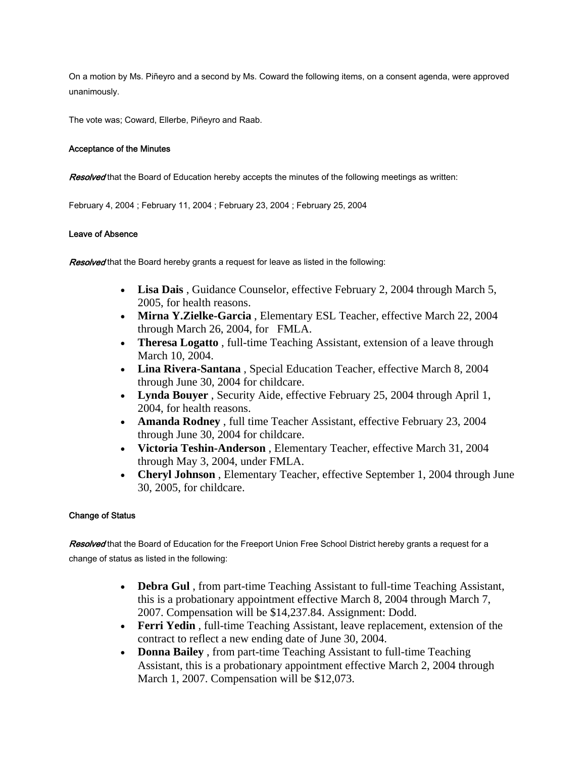On a motion by Ms. Piñeyro and a second by Ms. Coward the following items, on a consent agenda, were approved unanimously.

The vote was; Coward, Ellerbe, Piñeyro and Raab.

## Acceptance of the Minutes

Resolved that the Board of Education hereby accepts the minutes of the following meetings as written:

February 4, 2004 ; February 11, 2004 ; February 23, 2004 ; February 25, 2004

## Leave of Absence

Resolved that the Board hereby grants a request for leave as listed in the following:

- **Lisa Dais** , Guidance Counselor, effective February 2, 2004 through March 5, 2005, for health reasons.
- **Mirna Y.Zielke-Garcia** , Elementary ESL Teacher, effective March 22, 2004 through March 26, 2004, for FMLA.
- **Theresa Logatto** , full-time Teaching Assistant, extension of a leave through March 10, 2004.
- **Lina Rivera-Santana** , Special Education Teacher, effective March 8, 2004 through June 30, 2004 for childcare.
- **Lynda Bouyer** , Security Aide, effective February 25, 2004 through April 1, 2004, for health reasons.
- **Amanda Rodney** , full time Teacher Assistant, effective February 23, 2004 through June 30, 2004 for childcare.
- **Victoria Teshin-Anderson** , Elementary Teacher, effective March 31, 2004 through May 3, 2004, under FMLA.
- **Cheryl Johnson** , Elementary Teacher, effective September 1, 2004 through June 30, 2005, for childcare.

# Change of Status

Resolved that the Board of Education for the Freeport Union Free School District hereby grants a request for a change of status as listed in the following:

- **Debra Gul** , from part-time Teaching Assistant to full-time Teaching Assistant, this is a probationary appointment effective March 8, 2004 through March 7, 2007. Compensation will be \$14,237.84. Assignment: Dodd.
- **Ferri Yedin** , full-time Teaching Assistant, leave replacement, extension of the contract to reflect a new ending date of June 30, 2004.
- **Donna Bailey** , from part-time Teaching Assistant to full-time Teaching Assistant, this is a probationary appointment effective March 2, 2004 through March 1, 2007. Compensation will be \$12,073.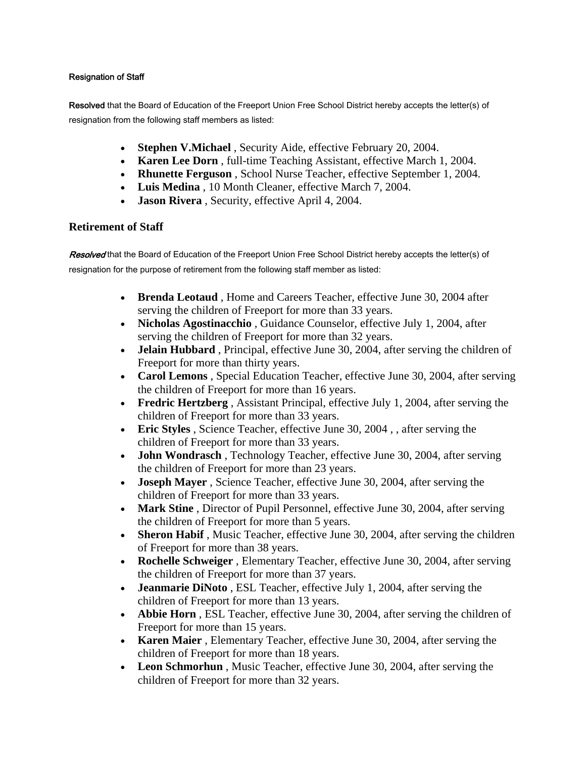# Resignation of Staff

Resolved that the Board of Education of the Freeport Union Free School District hereby accepts the letter(s) of resignation from the following staff members as listed:

- **Stephen V.Michael** , Security Aide, effective February 20, 2004.
- **Karen Lee Dorn** , full-time Teaching Assistant, effective March 1, 2004.
- **Rhunette Ferguson** , School Nurse Teacher, effective September 1, 2004.
- **Luis Medina** , 10 Month Cleaner, effective March 7, 2004.
- **Jason Rivera**, Security, effective April 4, 2004.

# **Retirement of Staff**

Resolved that the Board of Education of the Freeport Union Free School District hereby accepts the letter(s) of resignation for the purpose of retirement from the following staff member as listed:

- **Brenda Leotaud** , Home and Careers Teacher, effective June 30, 2004 after serving the children of Freeport for more than 33 years.
- **Nicholas Agostinacchio** , Guidance Counselor, effective July 1, 2004, after serving the children of Freeport for more than 32 years.
- **Jelain Hubbard** , Principal, effective June 30, 2004, after serving the children of Freeport for more than thirty years.
- **Carol Lemons** , Special Education Teacher, effective June 30, 2004, after serving the children of Freeport for more than 16 years.
- **Fredric Hertzberg** , Assistant Principal, effective July 1, 2004, after serving the children of Freeport for more than 33 years.
- **Eric Styles** , Science Teacher, effective June 30, 2004 , , after serving the children of Freeport for more than 33 years.
- **John Wondrasch** , Technology Teacher, effective June 30, 2004, after serving the children of Freeport for more than 23 years.
- **Joseph Mayer** , Science Teacher, effective June 30, 2004, after serving the children of Freeport for more than 33 years.
- **Mark Stine** , Director of Pupil Personnel, effective June 30, 2004, after serving the children of Freeport for more than 5 years.
- **Sheron Habif**, Music Teacher, effective June 30, 2004, after serving the children of Freeport for more than 38 years.
- **Rochelle Schweiger** , Elementary Teacher, effective June 30, 2004, after serving the children of Freeport for more than 37 years.
- **Jeanmarie DiNoto** , ESL Teacher, effective July 1, 2004, after serving the children of Freeport for more than 13 years.
- **Abbie Horn** , ESL Teacher, effective June 30, 2004, after serving the children of Freeport for more than 15 years.
- **Karen Maier** , Elementary Teacher, effective June 30, 2004, after serving the children of Freeport for more than 18 years.
- **Leon Schmorhun** , Music Teacher, effective June 30, 2004, after serving the children of Freeport for more than 32 years.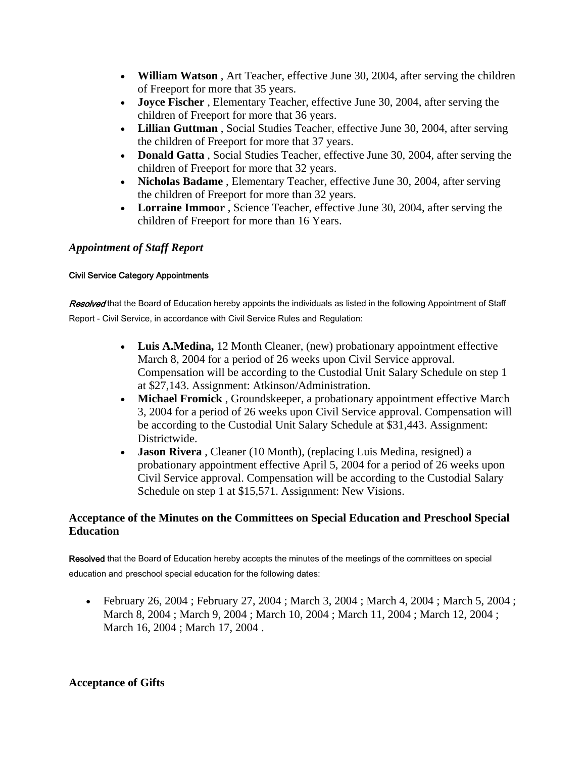- **William Watson** , Art Teacher, effective June 30, 2004, after serving the children of Freeport for more that 35 years.
- **Joyce Fischer** , Elementary Teacher, effective June 30, 2004, after serving the children of Freeport for more that 36 years.
- **Lillian Guttman** , Social Studies Teacher, effective June 30, 2004, after serving the children of Freeport for more that 37 years.
- **Donald Gatta** , Social Studies Teacher, effective June 30, 2004, after serving the children of Freeport for more that 32 years.
- **Nicholas Badame** , Elementary Teacher, effective June 30, 2004, after serving the children of Freeport for more than 32 years.
- **Lorraine Immoor** , Science Teacher, effective June 30, 2004, after serving the children of Freeport for more than 16 Years.

# *Appointment of Staff Report*

# Civil Service Category Appointments

Resolved that the Board of Education hereby appoints the individuals as listed in the following Appointment of Staff Report - Civil Service, in accordance with Civil Service Rules and Regulation:

- **Luis A.Medina,** 12 Month Cleaner, (new) probationary appointment effective March 8, 2004 for a period of 26 weeks upon Civil Service approval. Compensation will be according to the Custodial Unit Salary Schedule on step 1 at \$27,143. Assignment: Atkinson/Administration.
- **Michael Fromick** , Groundskeeper, a probationary appointment effective March 3, 2004 for a period of 26 weeks upon Civil Service approval. Compensation will be according to the Custodial Unit Salary Schedule at \$31,443. Assignment: Districtwide.
- **Jason Rivera** , Cleaner (10 Month), (replacing Luis Medina, resigned) a probationary appointment effective April 5, 2004 for a period of 26 weeks upon Civil Service approval. Compensation will be according to the Custodial Salary Schedule on step 1 at \$15,571. Assignment: New Visions.

# **Acceptance of the Minutes on the Committees on Special Education and Preschool Special Education**

Resolved that the Board of Education hereby accepts the minutes of the meetings of the committees on special education and preschool special education for the following dates:

• February 26, 2004; February 27, 2004; March 3, 2004; March 4, 2004; March 5, 2004; March 8, 2004 ; March 9, 2004 ; March 10, 2004 ; March 11, 2004 ; March 12, 2004 ; March 16, 2004 ; March 17, 2004 .

# **Acceptance of Gifts**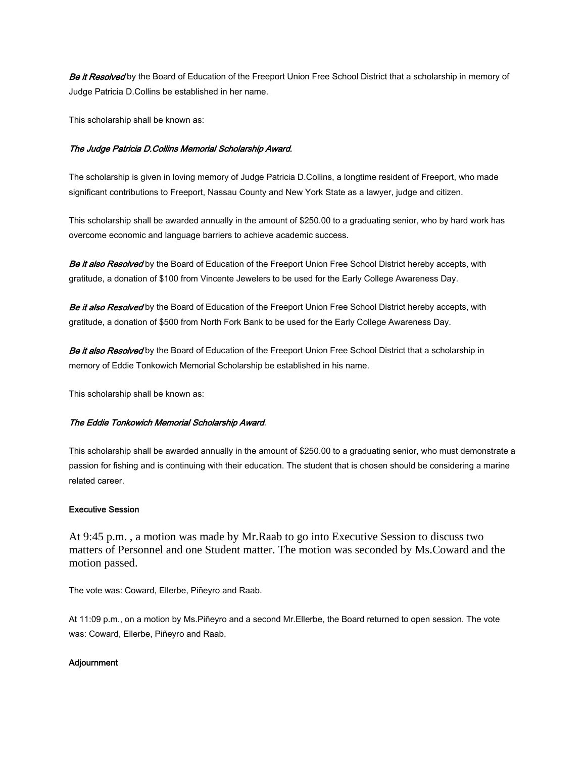Be it Resolved by the Board of Education of the Freeport Union Free School District that a scholarship in memory of Judge Patricia D.Collins be established in her name.

This scholarship shall be known as:

#### The Judge Patricia D.Collins Memorial Scholarship Award.

The scholarship is given in loving memory of Judge Patricia D.Collins, a longtime resident of Freeport, who made significant contributions to Freeport, Nassau County and New York State as a lawyer, judge and citizen.

This scholarship shall be awarded annually in the amount of \$250.00 to a graduating senior, who by hard work has overcome economic and language barriers to achieve academic success.

Be it also Resolved by the Board of Education of the Freeport Union Free School District hereby accepts, with gratitude, a donation of \$100 from Vincente Jewelers to be used for the Early College Awareness Day.

Be it also Resolved by the Board of Education of the Freeport Union Free School District hereby accepts, with gratitude, a donation of \$500 from North Fork Bank to be used for the Early College Awareness Day.

Be it also Resolved by the Board of Education of the Freeport Union Free School District that a scholarship in memory of Eddie Tonkowich Memorial Scholarship be established in his name.

This scholarship shall be known as:

#### The Eddie Tonkowich Memorial Scholarship Award.

This scholarship shall be awarded annually in the amount of \$250.00 to a graduating senior, who must demonstrate a passion for fishing and is continuing with their education. The student that is chosen should be considering a marine related career.

## Executive Session

At 9:45 p.m. , a motion was made by Mr.Raab to go into Executive Session to discuss two matters of Personnel and one Student matter. The motion was seconded by Ms.Coward and the motion passed.

The vote was: Coward, Ellerbe, Piñeyro and Raab.

At 11:09 p.m., on a motion by Ms.Piñeyro and a second Mr.Ellerbe, the Board returned to open session. The vote was: Coward, Ellerbe, Piñeyro and Raab.

## Adjournment